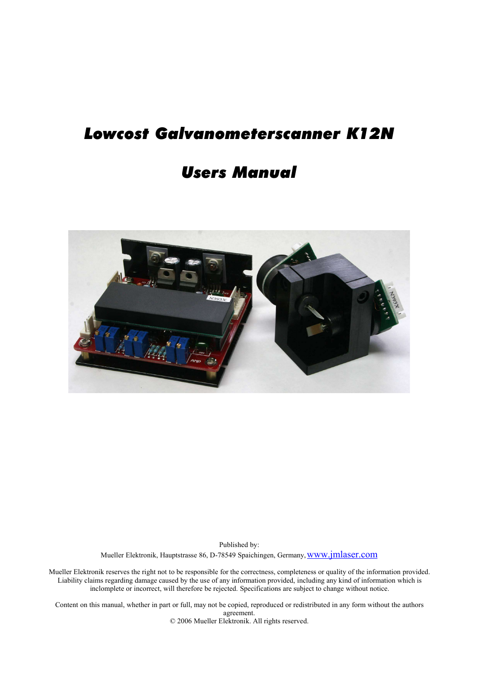# *Lowcost Galvanometerscanner K12N*

## *Users Manual*



Published by: Mueller Elektronik, Hauptstrasse 86, D-78549 Spaichingen, Germany, www.jmlaser.com

Mueller Elektronik reserves the right not to be responsible for the correctness, completeness or quality of the information provided. Liability claims regarding damage caused by the use of any information provided, including any kind of information which is inclomplete or incorrect, will therefore be rejected. Specifications are subject to change without notice.

Content on this manual, whether in part or full, may not be copied, reproduced or redistributed in any form without the authors agreement. © 2006 Mueller Elektronik. All rights reserved.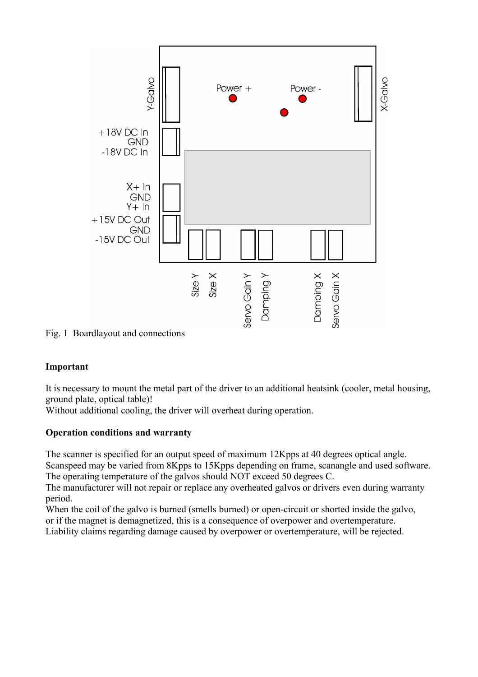

Fig. 1 Boardlayout and connections

### **Important**

It is necessary to mount the metal part of the driver to an additional heatsink (cooler, metal housing, ground plate, optical table)!

Without additional cooling, the driver will overheat during operation.

### **Operation conditions and warranty**

The scanner is specified for an output speed of maximum 12Kpps at 40 degrees optical angle.

Scanspeed may be varied from 8Kpps to 15Kpps depending on frame, scanangle and used software. The operating temperature of the galvos should NOT exceed 50 degrees C.

The manufacturer will not repair or replace any overheated galvos or drivers even during warranty period.

When the coil of the galvo is burned (smells burned) or open-circuit or shorted inside the galvo, or if the magnet is demagnetized, this is a consequence of overpower and overtemperature.

Liability claims regarding damage caused by overpower or overtemperature, will be rejected.